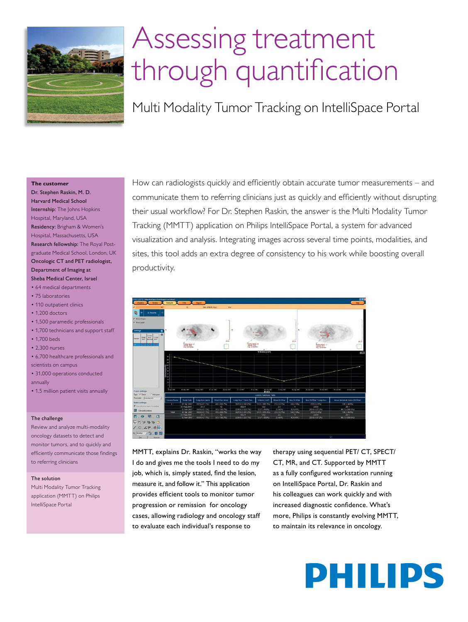

# Assessing treatment through quantification

Multi Modality Tumor Tracking on IntelliSpace Portal

#### **The customer**

Dr. Stephen Raskin, M. D. Harvard Medical School Internship: The Johns Hopkins Hospital, Maryland, USA Residency: Brigham & Women's Hospital, Massachusetts, USA Research fellowship: The Royal Postgraduate Medical School, London, UK Oncologic CT and PET radiologist, Department of Imaging at Sheba Medical Center, Israel

- 64 medical departments
- 75 laboratories
- 110 outpatient clinics
- 1,200 doctors
- 1,500 paramedic professionals
- 1,700 technicians and support staff
- 1.700 beds
- 2,300 nurses
- 6,700 healthcare professionals and scientists on campus
- 31,000 operations conducted annually
- 1.5 million patient visits annually

#### The challenge

Review and analyze multi-modality oncology datasets to detect and monitor tumors, and to quickly and efficiently communicate those findings to referring clinicians

#### The solution

Multi Modality Tumor Tracking application (MMTT) on Philips IntelliSpace Portal

How can radiologists quickly and efficiently obtain accurate tumor measurements – and communicate them to referring clinicians just as quickly and efficiently without disrupting their usual workflow? For Dr. Stephen Raskin, the answer is the Multi Modality Tumor Tracking (MMTT) application on Philips IntelliSpace Portal, a system for advanced visualization and analysis. Integrating images across several time points, modalities, and sites, this tool adds an extra degree of consistency to his work while boosting overall productivity.



MMTT, explains Dr. Raskin, "works the way I do and gives me the tools I need to do my job, which is, simply stated, find the lesion, measure it, and follow it." This application provides efficient tools to monitor tumor progression or remission for oncology cases, allowing radiology and oncology staff to evaluate each individual's response to

therapy using sequential PET/ CT, SPECT/ CT, MR, and CT. Supported by MMTT as a fully configured workstation running on IntelliSpace Portal, Dr. Raskin and his colleagues can work quickly and with increased diagnostic confidence. What's more, Philips is constantly evolving MMTT, to maintain its relevance in oncology.